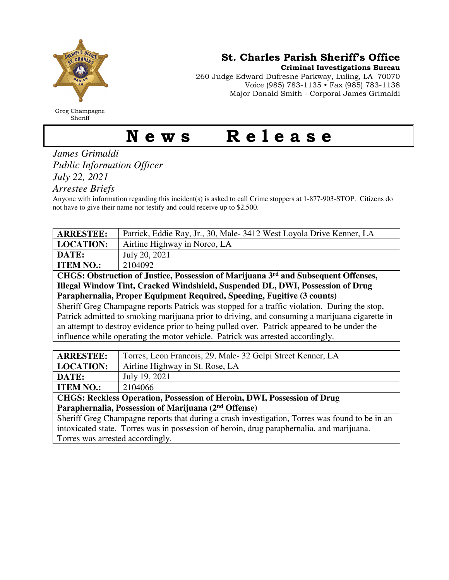

Greg Champagne Sheriff

St. Charles Parish Sheriff's Office

Criminal Investigations Bureau

260 Judge Edward Dufresne Parkway, Luling, LA 70070 Voice (985) 783-1135 • Fax (985) 783-1138 Major Donald Smith - Corporal James Grimaldi

## News Release

*James Grimaldi Public Information Officer July 22, 2021* 

*Arrestee Briefs* 

Anyone with information regarding this incident(s) is asked to call Crime stoppers at 1-877-903-STOP. Citizens do not have to give their name nor testify and could receive up to \$2,500.

| <b>ARRESTEE:</b>                                                                               | Patrick, Eddie Ray, Jr., 30, Male-3412 West Loyola Drive Kenner, LA |  |
|------------------------------------------------------------------------------------------------|---------------------------------------------------------------------|--|
| <b>LOCATION:</b>                                                                               | Airline Highway in Norco, LA                                        |  |
| DATE:                                                                                          | July 20, 2021                                                       |  |
| <b>ITEM NO.:</b>                                                                               | 2104092                                                             |  |
| CHGS: Obstruction of Justice, Possession of Marijuana 3 <sup>rd</sup> and Subsequent Offenses, |                                                                     |  |
| Illegal Window Tint, Cracked Windshield, Suspended DL, DWI, Possession of Drug                 |                                                                     |  |
| Paraphernalia, Proper Equipment Required, Speeding, Fugitive (3 counts)                        |                                                                     |  |
| Sheriff Greg Champagne reports Patrick was stopped for a traffic violation. During the stop,   |                                                                     |  |
| Patrick admitted to smoking marijuana prior to driving, and consuming a marijuana cigarette in |                                                                     |  |
| an attempt to destroy evidence prior to being pulled over. Patrick appeared to be under the    |                                                                     |  |
| influence while operating the motor vehicle. Patrick was arrested accordingly.                 |                                                                     |  |
|                                                                                                |                                                                     |  |
| <b>ARRESTEE:</b>                                                                               | Torres, Leon Francois, 29, Male-32 Gelpi Street Kenner, LA          |  |
| <b>LOCATION:</b>                                                                               | Airline Highway in St. Rose, LA                                     |  |
| DATE:                                                                                          | July 19, 2021                                                       |  |

**ITEM NO.:** | 2104066

**CHGS: Reckless Operation, Possession of Heroin, DWI, Possession of Drug Paraphernalia, Possession of Marijuana (2nd Offense)** 

Sheriff Greg Champagne reports that during a crash investigation, Torres was found to be in an intoxicated state. Torres was in possession of heroin, drug paraphernalia, and marijuana. Torres was arrested accordingly.